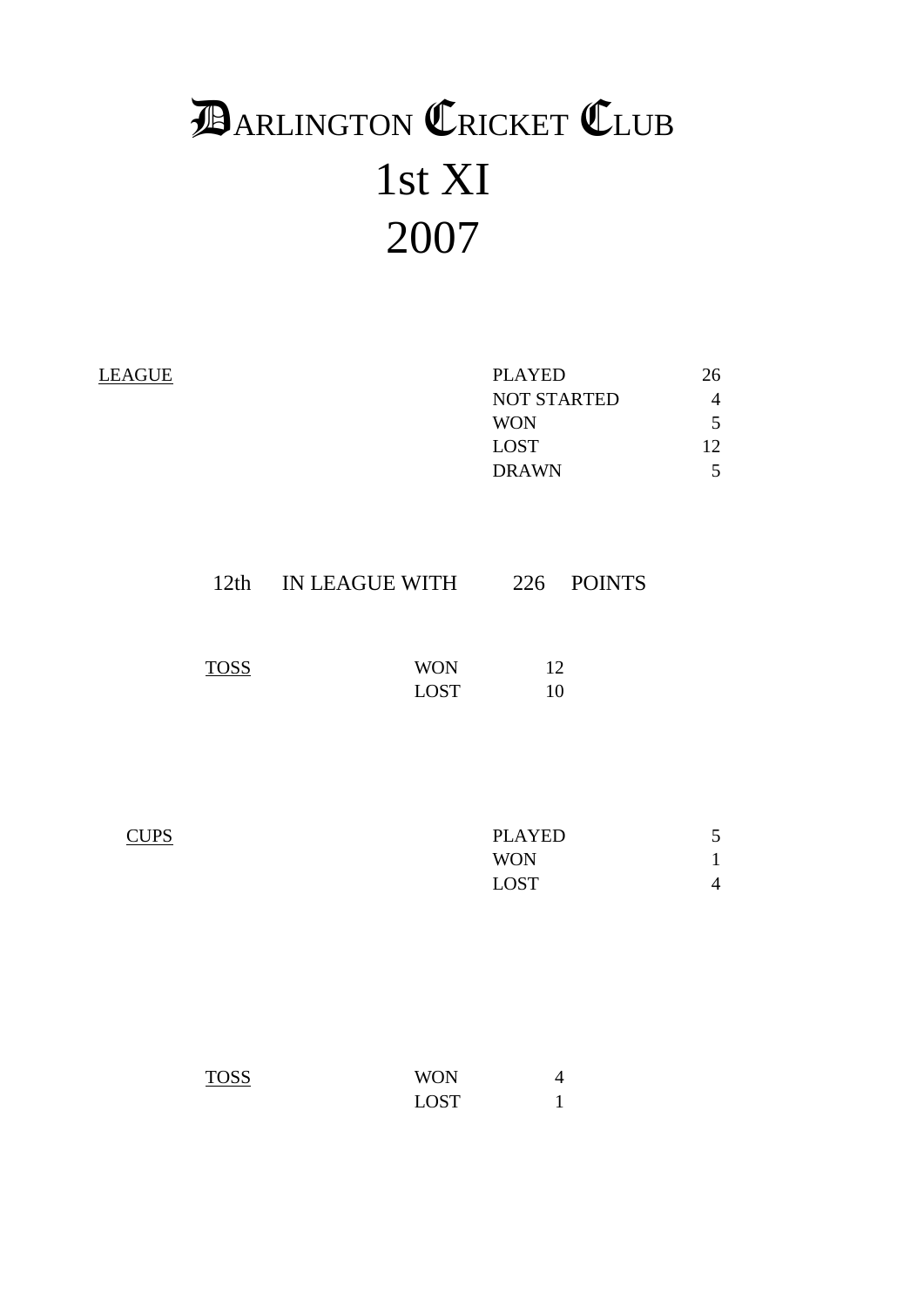# 1st XI 2007 **DARLINGTON CRICKET CLUB**

| <b>LEAGUE</b> | <b>PLAYED</b>      | 26 |
|---------------|--------------------|----|
|               | <b>NOT STARTED</b> | 4  |
|               | <b>WON</b>         |    |
|               | <b>LOST</b>        | 12 |
|               | <b>DRAWN</b>       |    |
|               |                    |    |
|               |                    |    |

| <b>TOSS</b><br>WON<br>12 | 12th | IN LEAGUE WITH | 226 POINTS |
|--------------------------|------|----------------|------------|
| <b>LOST</b><br>10        |      |                |            |

| <b>CUPS</b> | <b>PLAYED</b> | 5 |
|-------------|---------------|---|
|             | <b>WON</b>    |   |
|             | <b>LOST</b>   |   |

| <b>TOSS</b> | <b>WON</b>  |  |
|-------------|-------------|--|
|             | <b>LOST</b> |  |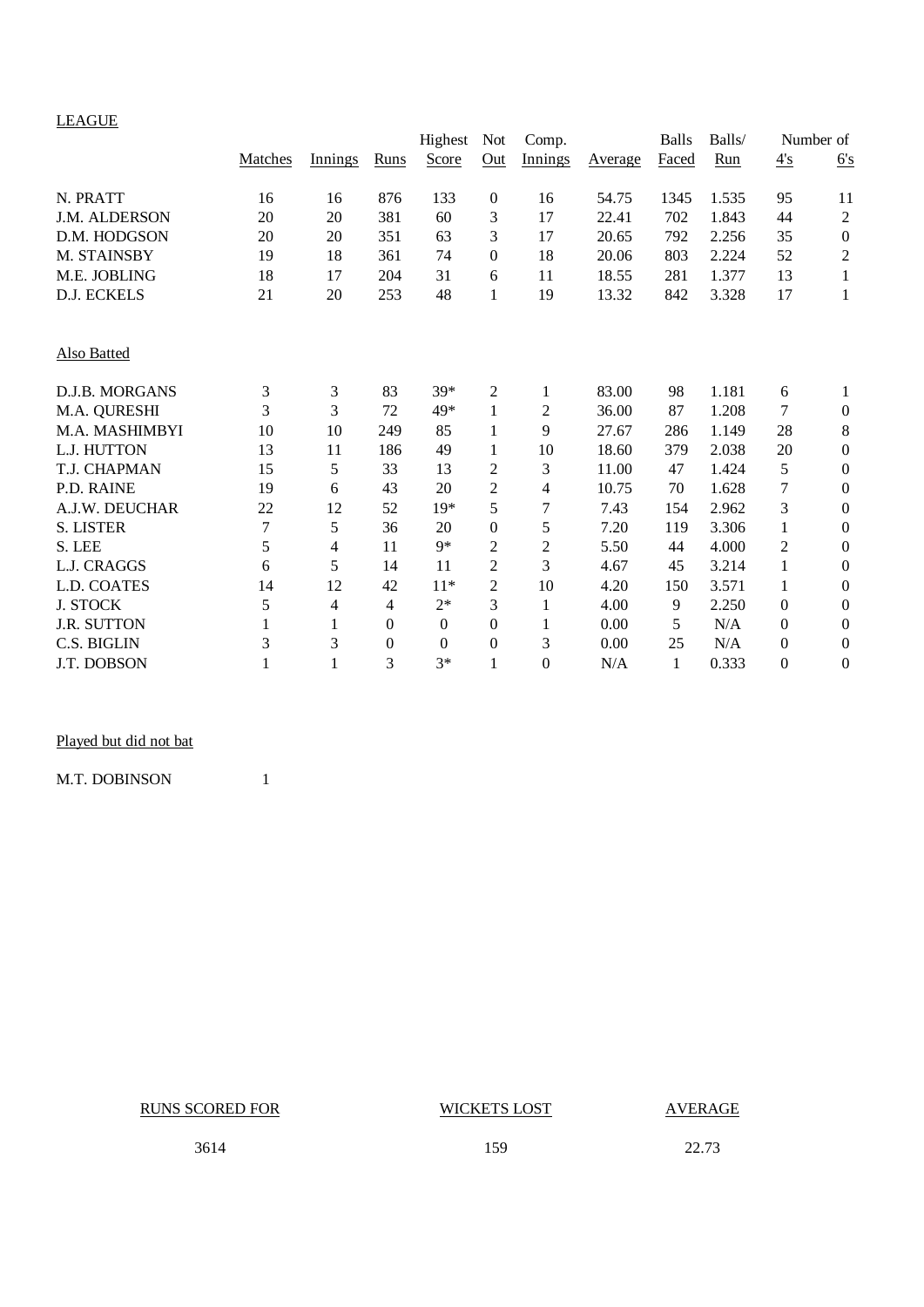## LEAGUE

|                      |         |         |          | Highest          | Not            | Comp.          |         | <b>Balls</b> | Balls/ |                  | Number of        |
|----------------------|---------|---------|----------|------------------|----------------|----------------|---------|--------------|--------|------------------|------------------|
|                      | Matches | Innings | Runs     | Score            | Qut            | Innings        | Average | Faced        | Run    | 4's              | 6's              |
| N. PRATT             | 16      | 16      | 876      | 133              | $\overline{0}$ | 16             | 54.75   | 1345         | 1.535  | 95               | 11               |
| <b>J.M. ALDERSON</b> | 20      | 20      | 381      | 60               | 3              | 17             | 22.41   | 702          | 1.843  | 44               | $\mathbf{2}$     |
| D.M. HODGSON         | 20      | 20      | 351      | 63               | 3              | 17             | 20.65   | 792          | 2.256  | 35               | $\boldsymbol{0}$ |
| M. STAINSBY          | 19      | 18      | 361      | 74               | $\Omega$       | 18             | 20.06   | 803          | 2.224  | 52               | $\sqrt{2}$       |
| M.E. JOBLING         | 18      | 17      | 204      | 31               | 6              | 11             | 18.55   | 281          | 1.377  | 13               | 1                |
| D.J. ECKELS          | 21      | 20      | 253      | 48               | 1              | 19             | 13.32   | 842          | 3.328  | 17               | 1                |
| Also Batted          |         |         |          |                  |                |                |         |              |        |                  |                  |
| D.J.B. MORGANS       | 3       | 3       | 83       | $39*$            | 2              | 1              | 83.00   | 98           | 1.181  | 6                | 1                |
| M.A. QURESHI         | 3       | 3       | 72       | 49*              | 1              | $\overline{c}$ | 36.00   | 87           | 1.208  | 7                | $\boldsymbol{0}$ |
| M.A. MASHIMBYI       | 10      | 10      | 249      | 85               | 1              | 9              | 27.67   | 286          | 1.149  | 28               | $\,8\,$          |
| L.J. HUTTON          | 13      | 11      | 186      | 49               | 1              | 10             | 18.60   | 379          | 2.038  | 20               | $\boldsymbol{0}$ |
| T.J. CHAPMAN         | 15      | 5       | 33       | 13               | $\overline{2}$ | 3              | 11.00   | 47           | 1.424  | 5                | $\boldsymbol{0}$ |
| P.D. RAINE           | 19      | 6       | 43       | 20               | $\overline{2}$ | 4              | 10.75   | 70           | 1.628  | 7                | $\boldsymbol{0}$ |
| A.J.W. DEUCHAR       | 22      | 12      | 52       | $19*$            | 5              | 7              | 7.43    | 154          | 2.962  | 3                | $\boldsymbol{0}$ |
| <b>S. LISTER</b>     | 7       | 5       | 36       | 20               | $\Omega$       | 5              | 7.20    | 119          | 3.306  | 1                | $\mathbf{0}$     |
| S. LEE               | 5       | 4       | 11       | $9*$             | $\overline{2}$ | $\overline{c}$ | 5.50    | 44           | 4.000  | $\overline{c}$   | $\boldsymbol{0}$ |
| L.J. CRAGGS          | 6       | 5       | 14       | 11               | $\overline{2}$ | 3              | 4.67    | 45           | 3.214  | 1                | $\mathbf{0}$     |
| L.D. COATES          | 14      | 12      | 42       | $11*$            | $\overline{2}$ | 10             | 4.20    | 150          | 3.571  | 1                | $\mathbf{0}$     |
| <b>J. STOCK</b>      | 5       | 4       | 4        | $2*$             | 3              | $\mathbf{1}$   | 4.00    | 9            | 2.250  | $\boldsymbol{0}$ | $\boldsymbol{0}$ |
| <b>J.R. SUTTON</b>   |         | 1       | $\theta$ | $\boldsymbol{0}$ | $\mathbf{0}$   | 1              | 0.00    | 5            | N/A    | 0                | $\mathbf{0}$     |
| C.S. BIGLIN          | 3       | 3       | $\theta$ | $\mathbf{0}$     | $\Omega$       | 3              | 0.00    | 25           | N/A    | $\boldsymbol{0}$ | $\boldsymbol{0}$ |
| J.T. DOBSON          |         | 1       | 3        | $3*$             | 1              | $\mathbf{0}$   | N/A     | $\mathbf{1}$ | 0.333  | $\boldsymbol{0}$ | $\boldsymbol{0}$ |

# Played but did not bat

M.T. DOBINSON 1

RUNS SCORED FOR WICKETS LOST AVERAGE

3614 159 22.73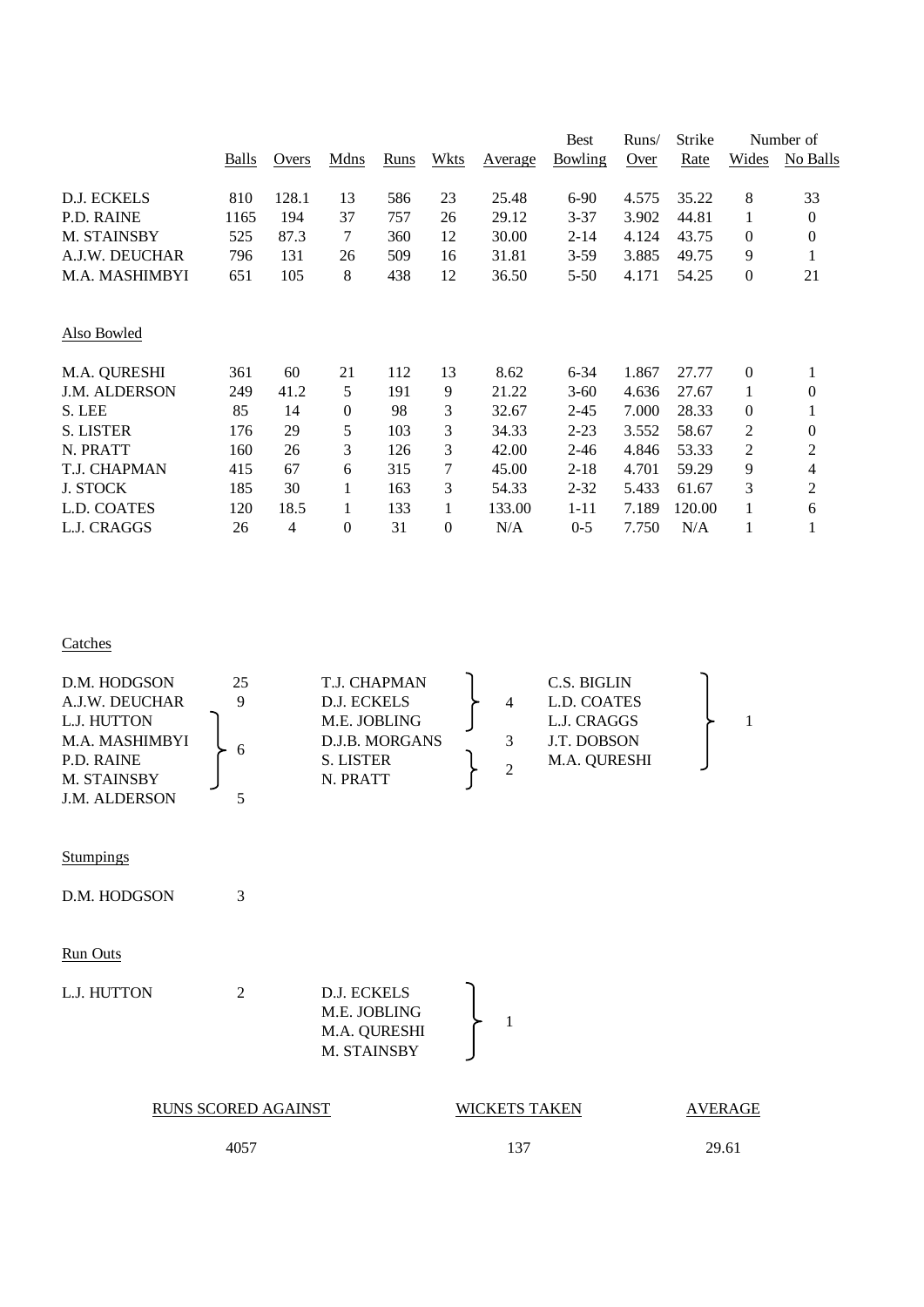|                      |       |       |      |      |          |         | <b>Best</b>    | Runs/ | Strike |                  | Number of        |
|----------------------|-------|-------|------|------|----------|---------|----------------|-------|--------|------------------|------------------|
|                      | Balls | Overs | Mdns | Runs | Wkts     | Average | <b>Bowling</b> | Over  | Rate   | Wides            | No Balls         |
| D.J. ECKELS          | 810   | 128.1 | 13   | 586  | 23       | 25.48   | $6-90$         | 4.575 | 35.22  | 8                | 33               |
| <b>P.D. RAINE</b>    | 1165  | 194   | 37   | 757  | 26       | 29.12   | $3 - 37$       | 3.902 | 44.81  | 1                | $\mathbf{0}$     |
| M. STAINSBY          | 525   | 87.3  | 7    | 360  | 12       | 30.00   | 2-14           | 4.124 | 43.75  | $\boldsymbol{0}$ | $\boldsymbol{0}$ |
| A.J.W. DEUCHAR       | 796   | 131   | 26   | 509  | 16       | 31.81   | $3-59$         | 3.885 | 49.75  | 9                | 1                |
| M.A. MASHIMBYI       | 651   | 105   | 8    | 438  | 12       | 36.50   | $5 - 50$       | 4.171 | 54.25  | $\boldsymbol{0}$ | 21               |
|                      |       |       |      |      |          |         |                |       |        |                  |                  |
| Also Bowled          |       |       |      |      |          |         |                |       |        |                  |                  |
| M.A. QURESHI         | 361   | 60    | 21   | 112  | 13       | 8.62    | $6 - 34$       | 1.867 | 27.77  | $\boldsymbol{0}$ | 1                |
| <b>J.M. ALDERSON</b> | 249   | 41.2  | 5    | 191  | 9        | 21.22   | $3 - 60$       | 4.636 | 27.67  | 1                | 0                |
| S. LEE               | 85    | 14    | 0    | 98   | 3        | 32.67   | $2 - 45$       | 7.000 | 28.33  | $\boldsymbol{0}$ | 1                |
| <b>S. LISTER</b>     | 176   | 29    | 5    | 103  | 3        | 34.33   | $2 - 23$       | 3.552 | 58.67  | 2                | $\theta$         |
| N. PRATT             | 160   | 26    | 3    | 126  | 3        | 42.00   | $2 - 46$       | 4.846 | 53.33  | 2                | 2                |
| T.J. CHAPMAN         | 415   | 67    | 6    | 315  | 7        | 45.00   | $2 - 18$       | 4.701 | 59.29  | 9                | 4                |
| <b>J. STOCK</b>      | 185   | 30    |      | 163  | 3        | 54.33   | $2 - 32$       | 5.433 | 61.67  | 3                | 2                |
| L.D. COATES          | 120   | 18.5  | 1    | 133  | 1        | 133.00  | $1 - 11$       | 7.189 | 120.00 | 1                | 6                |
| L.J. CRAGGS          | 26    | 4     | 0    | 31   | $\theta$ | N/A     | $0 - 5$        | 7.750 | N/A    |                  | $\mathbf{1}$     |
|                      |       |       |      |      |          |         |                |       |        |                  |                  |

**Catches** 

| D.M. HODGSON         | 25 | T.J. CHAPMAN   |   | C.S. BIGLIN         |  |
|----------------------|----|----------------|---|---------------------|--|
| A.J.W. DEUCHAR       |    | D.J. ECKELS    | 4 | L.D. COATES         |  |
| L.J. HUTTON          |    | M.E. JOBLING   |   | L.J. CRAGGS         |  |
| M.A. MASHIMBYI       |    | D.J.B. MORGANS |   | J.T. DOBSON         |  |
| P.D. RAINE           | h  | S. LISTER      | 2 | <b>M.A. OURESHI</b> |  |
| M. STAINSBY          |    | N. PRATT       |   |                     |  |
| <b>J.M. ALDERSON</b> |    |                |   |                     |  |

**Stumpings** 

D.M. HODGSON 3

# Run Outs

L.J. HUTTON 2 D.J. ECKELS M.E. JOBLING M.A. QURESHI M. STAINSBY

| RUNS SCORED AGAINST | <b>WICKETS TAKEN</b> | AVERAGE |
|---------------------|----------------------|---------|
| 4057                | 137                  | 29.61   |

1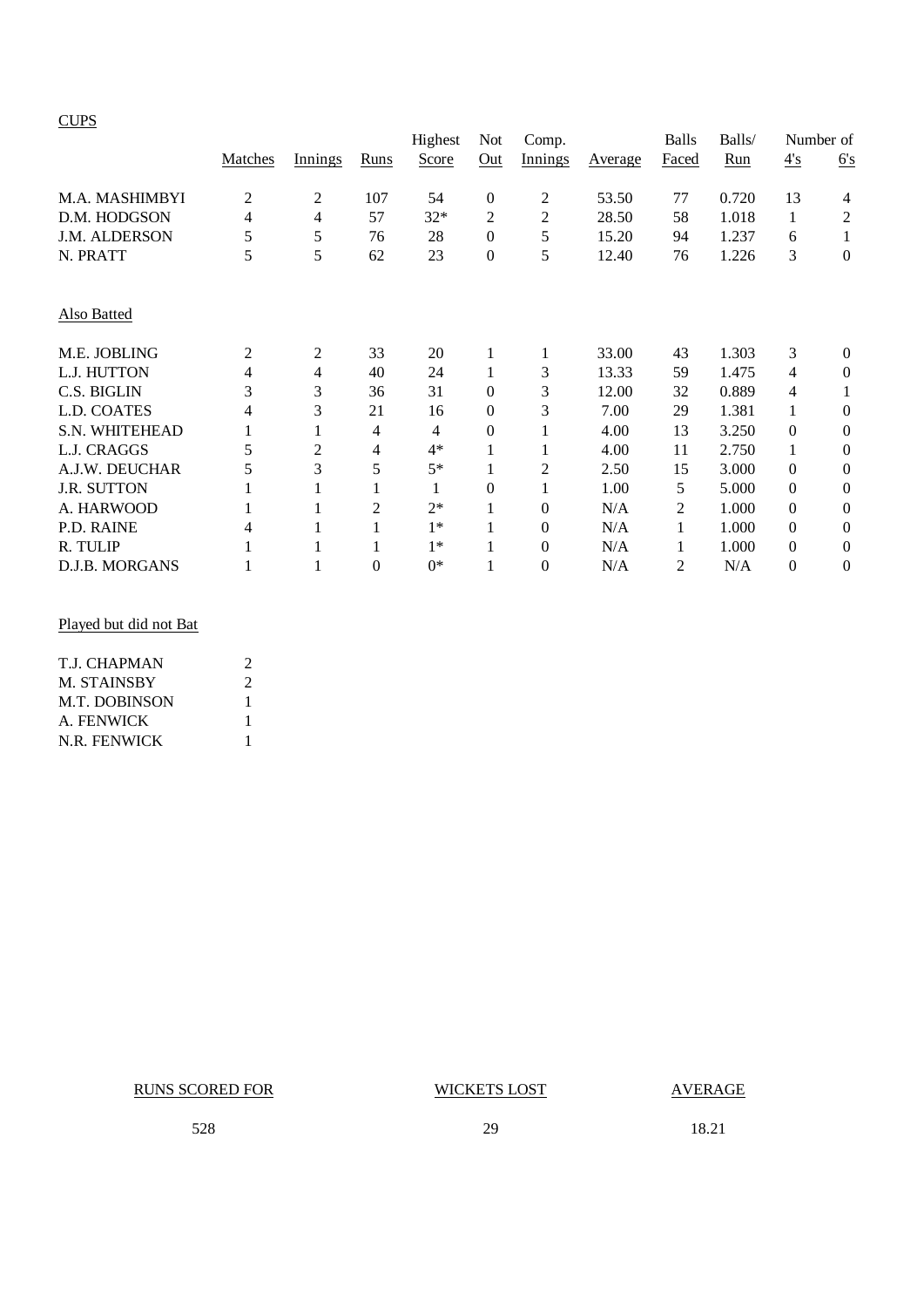#### **CUPS**

|                    |                |         |          | Highest | Not              | Comp.          |         | <b>Balls</b> | Balls/ |              | Number of        |
|--------------------|----------------|---------|----------|---------|------------------|----------------|---------|--------------|--------|--------------|------------------|
|                    | Matches        | Innings | Runs     | Score   | Out              | Innings        | Average | Faced        | Run    | 4's          | 6's              |
| M.A. MASHIMBYI     | $\overline{2}$ | 2       | 107      | 54      | $\boldsymbol{0}$ | 2              | 53.50   | 77           | 0.720  | 13           | 4                |
| D.M. HODGSON       | 4              | 4       | 57       | $32*$   | 2                | $\overline{c}$ | 28.50   | 58           | 1.018  | 1            | 2                |
| J.M. ALDERSON      | 5              | 5       | 76       | 28      | $\boldsymbol{0}$ | 5              | 15.20   | 94           | 1.237  | 6            | 1                |
| N. PRATT           | 5              | 5       | 62       | 23      | $\boldsymbol{0}$ | 5              | 12.40   | 76           | 1.226  | 3            | $\boldsymbol{0}$ |
| Also Batted        |                |         |          |         |                  |                |         |              |        |              |                  |
| M.E. JOBLING       | 2              | 2       | 33       | 20      | 1                |                | 33.00   | 43           | 1.303  | 3            | $\theta$         |
| L.J. HUTTON        | 4              | 4       | 40       | 24      | 1                | 3              | 13.33   | 59           | 1.475  | 4            | $\theta$         |
| C.S. BIGLIN        | 3              | 3       | 36       | 31      | $\mathbf{0}$     | 3              | 12.00   | 32           | 0.889  | 4            | 1                |
| L.D. COATES        | 4              | 3       | 21       | 16      | $\mathbf{0}$     | 3              | 7.00    | 29           | 1.381  |              | $\theta$         |
| S.N. WHITEHEAD     |                | 1       | 4        | 4       | $\theta$         |                | 4.00    | 13           | 3.250  | $\Omega$     | $\theta$         |
| L.J. CRAGGS        | 5              | 2       | 4        | $4*$    | 1                |                | 4.00    | 11           | 2.750  | 1            | $\theta$         |
| A.J.W. DEUCHAR     | 5              | 3       | 5        | $5*$    | 1                | 2              | 2.50    | 15           | 3.000  | $\Omega$     | $\boldsymbol{0}$ |
| <b>J.R. SUTTON</b> |                |         |          |         | $\theta$         |                | 1.00    | 5            | 5.000  | $\Omega$     | $\theta$         |
| A. HARWOOD         |                |         | 2        | $2*$    | $\mathbf{1}$     | 0              | N/A     | 2            | 1.000  | $\mathbf{0}$ | $\theta$         |
| P.D. RAINE         | 4              |         |          | $1*$    | 1                | $\theta$       | N/A     | 1            | 1.000  | $\theta$     | $\theta$         |
| R. TULIP           |                |         |          | $1*$    | 1                | $\theta$       | N/A     | 1            | 1.000  | $\theta$     | $\theta$         |
| D.J.B. MORGANS     |                |         | $\theta$ | $0*$    | 1                | 0              | N/A     | 2            | N/A    | $\Omega$     | $\theta$         |

## Played but did not Bat

| T.I. CHAPMAN         | 2 |
|----------------------|---|
| <b>M. STAINSBY</b>   | 2 |
| <b>M.T. DOBINSON</b> | 1 |
| A. FENWICK           | 1 |
| N.R. FENWICK         |   |

RUNS SCORED FOR WICKETS LOST AVERAGE

528 29 18.21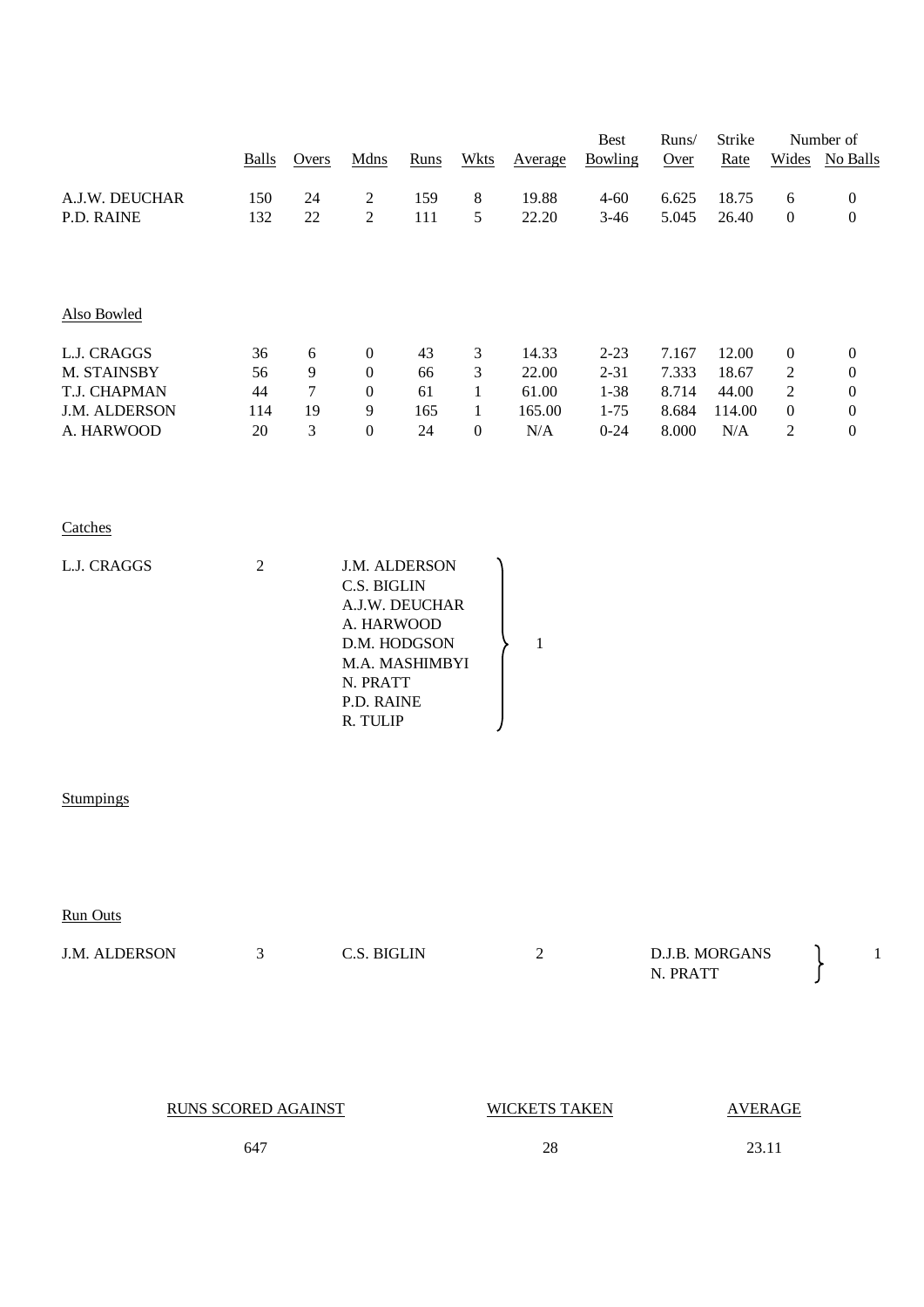|                                            | <b>Balls</b>   | Overs                                    | Mdns                                                                                                                                 | Runs           | <b>Wkts</b>                         | Average                 | <b>Best</b><br>Bowling           | Runs/<br>Over           | Strike<br>Rate          | Wides                                            | Number of<br>No Balls                                    |
|--------------------------------------------|----------------|------------------------------------------|--------------------------------------------------------------------------------------------------------------------------------------|----------------|-------------------------------------|-------------------------|----------------------------------|-------------------------|-------------------------|--------------------------------------------------|----------------------------------------------------------|
| A.J.W. DEUCHAR<br>P.D. RAINE               | 150<br>132     | 24<br>$22\,$                             | $\sqrt{2}$<br>$\sqrt{2}$                                                                                                             | 159<br>111     | $\,8\,$<br>5                        | 19.88<br>22.20          | $4 - 60$<br>$3-46$               | 6.625<br>5.045          | 18.75<br>26.40          | 6<br>$\boldsymbol{0}$                            | $\boldsymbol{0}$<br>$\boldsymbol{0}$                     |
|                                            |                |                                          |                                                                                                                                      |                |                                     |                         |                                  |                         |                         |                                                  |                                                          |
| Also Bowled                                |                |                                          |                                                                                                                                      |                |                                     |                         |                                  |                         |                         |                                                  |                                                          |
| L.J. CRAGGS<br>M. STAINSBY<br>T.J. CHAPMAN | 36<br>56<br>44 | $\sqrt{6}$<br>$\boldsymbol{9}$<br>$\tau$ | $\boldsymbol{0}$<br>$\boldsymbol{0}$<br>$\boldsymbol{0}$                                                                             | 43<br>66<br>61 | 3<br>$\mathfrak{Z}$<br>$\mathbf{1}$ | 14.33<br>22.00<br>61.00 | $2 - 23$<br>$2 - 31$<br>$1 - 38$ | 7.167<br>7.333<br>8.714 | 12.00<br>18.67<br>44.00 | $\boldsymbol{0}$<br>$\mathbf{2}$<br>$\mathbf{2}$ | $\boldsymbol{0}$<br>$\boldsymbol{0}$<br>$\boldsymbol{0}$ |
| J.M. ALDERSON<br>A. HARWOOD                | 114<br>20      | 19<br>$\mathfrak{Z}$                     | 9<br>$\boldsymbol{0}$                                                                                                                | 165<br>24      | $\mathbf{1}$<br>$\boldsymbol{0}$    | 165.00<br>$\rm N/A$     | $1 - 75$<br>$0 - 24$             | 8.684<br>8.000          | 114.00<br>$\rm N/A$     | $\boldsymbol{0}$<br>$\mathbf{2}$                 | $\boldsymbol{0}$<br>$\boldsymbol{0}$                     |
| Catches                                    |                |                                          |                                                                                                                                      |                |                                     |                         |                                  |                         |                         |                                                  |                                                          |
| L.J. CRAGGS                                | $\sqrt{2}$     |                                          | J.M. ALDERSON<br>C.S. BIGLIN<br>A.J.W. DEUCHAR<br>A. HARWOOD<br>D.M. HODGSON<br>M.A. MASHIMBYI<br>N. PRATT<br>P.D. RAINE<br>R. TULIP |                |                                     | $\,1\,$                 |                                  |                         |                         |                                                  |                                                          |
| Stumpings                                  |                |                                          |                                                                                                                                      |                |                                     |                         |                                  |                         |                         |                                                  |                                                          |
| <b>Run Outs</b>                            |                |                                          |                                                                                                                                      |                |                                     |                         |                                  |                         |                         |                                                  |                                                          |
| J.M. ALDERSON                              | 3              |                                          | C.S. BIGLIN                                                                                                                          |                |                                     | $\overline{2}$          |                                  | N. PRATT                | D.J.B. MORGANS          |                                                  | $\mathbf{1}$                                             |
| <b>RUNS SCORED AGAINST</b>                 |                |                                          |                                                                                                                                      |                |                                     | <b>WICKETS TAKEN</b>    |                                  |                         |                         | <b>AVERAGE</b>                                   |                                                          |
|                                            | 647            |                                          |                                                                                                                                      |                |                                     | $28\,$                  |                                  |                         | 23.11                   |                                                  |                                                          |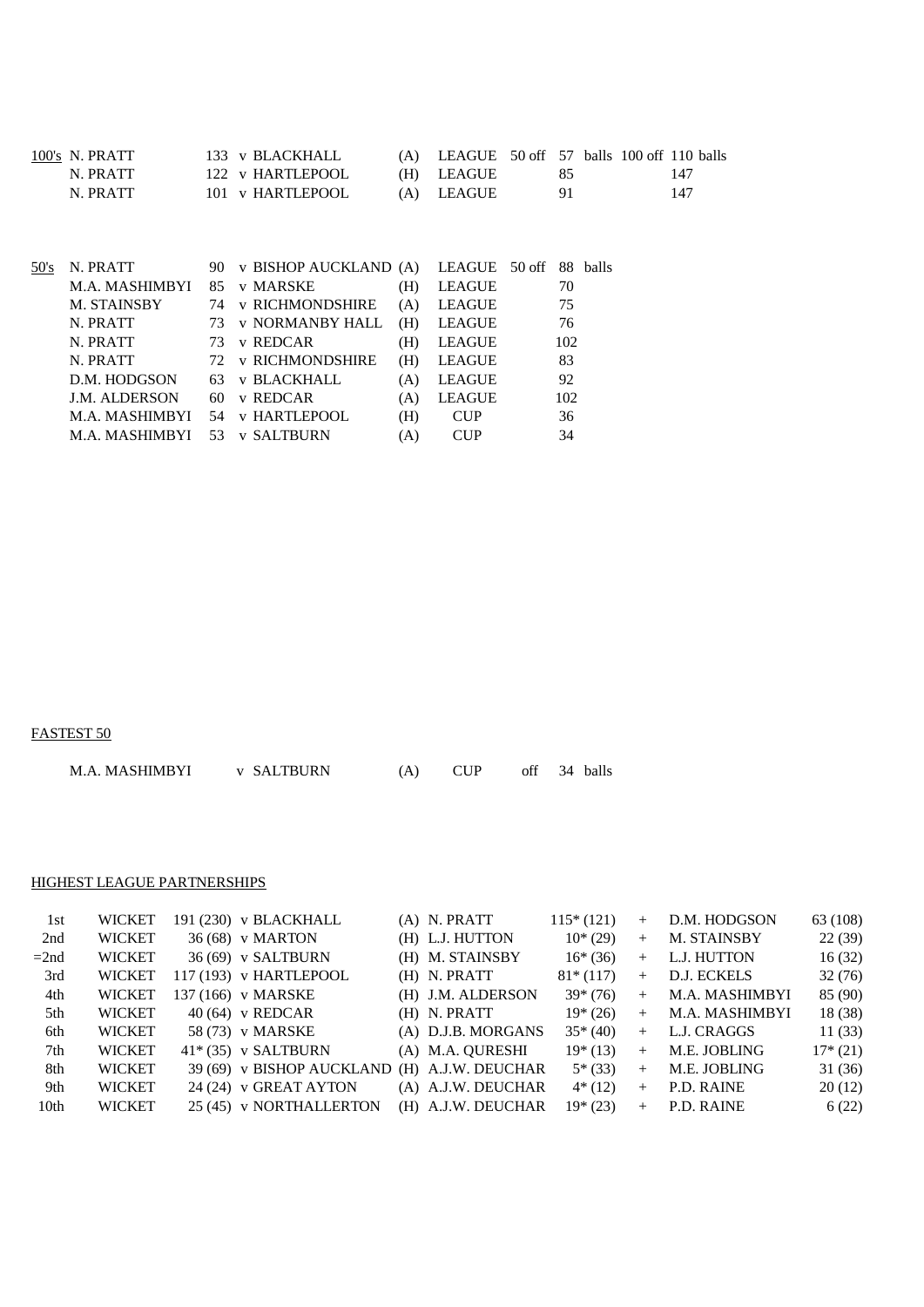| 100's N. PRATT | 133 v BLACKHALL  | $(A)$ LEAGUE 50 off 57 balls 100 off 110 balls |     |  |     |
|----------------|------------------|------------------------------------------------|-----|--|-----|
| N. PRATT       | 122 v HARTLEPOOL | (H) LEAGUE                                     | 85. |  | 147 |
| N. PRATT       | 101 v HARTLEPOOL | (A) LEAGUE                                     | 91  |  | 147 |

| N. PRATT             | 90. |                        |                                               |               |                                              |
|----------------------|-----|------------------------|-----------------------------------------------|---------------|----------------------------------------------|
| M.A. MASHIMBYI       | 85  | v MARSKE               | (H)                                           | <b>LEAGUE</b> | 70                                           |
| M. STAINSBY          | 74  |                        | (A)                                           | <b>LEAGUE</b> | 75                                           |
| N. PRATT             | 73  | <b>v NORMANBY HALL</b> | (H)                                           | <b>LEAGUE</b> | 76                                           |
| N. PRATT             | 73  | v REDCAR               | (H)                                           | <b>LEAGUE</b> | 102                                          |
| N. PRATT             | 72. | <b>v RICHMONDSHIRE</b> | (H)                                           | <b>LEAGUE</b> | 83                                           |
| D.M. HODGSON         |     | <b>v BLACKHALL</b>     | (A)                                           | <b>LEAGUE</b> | 92                                           |
| <b>J.M. ALDERSON</b> | 60. | v REDCAR               | (A)                                           | <b>LEAGUE</b> | 102                                          |
| M.A. MASHIMBYI       | 54  |                        | (H)                                           | <b>CUP</b>    | 36                                           |
| M.A. MASHIMBYI       | 53  | <b>v SALTBURN</b>      | A)                                            | CUP           | 34                                           |
|                      |     |                        | <b>v RICHMONDSHIRE</b><br><b>v HARTLEPOOL</b> |               | v BISHOP AUCKLAND (A) LEAGUE 50 off 88 balls |

FASTEST 50

| M.A. MASHIMBYI | <b>v SALTBURN</b> |  |  |  |  | 34 balls |
|----------------|-------------------|--|--|--|--|----------|
|----------------|-------------------|--|--|--|--|----------|

#### HIGHEST LEAGUE PARTNERSHIPS

| WICKET        |  |                                                                                                                                                                                                                                      | $115*(121)$                                                                                                                     | $+$                                                                                                            | D.M. HODGSON   | 63 (108)          |
|---------------|--|--------------------------------------------------------------------------------------------------------------------------------------------------------------------------------------------------------------------------------------|---------------------------------------------------------------------------------------------------------------------------------|----------------------------------------------------------------------------------------------------------------|----------------|-------------------|
| <b>WICKET</b> |  |                                                                                                                                                                                                                                      | $10*(29)$                                                                                                                       | $+$                                                                                                            | M. STAINSBY    | 22(39)            |
| <b>WICKET</b> |  |                                                                                                                                                                                                                                      | $16*(36)$                                                                                                                       |                                                                                                                | L.J. HUTTON    | 16(32)            |
| <b>WICKET</b> |  |                                                                                                                                                                                                                                      | $81*(117)$                                                                                                                      | $+$                                                                                                            | D.J. ECKELS    | 32(76)            |
| <b>WICKET</b> |  |                                                                                                                                                                                                                                      | $39*(76)$                                                                                                                       | $+$                                                                                                            | M.A. MASHIMBYI | 85 (90)           |
| <b>WICKET</b> |  |                                                                                                                                                                                                                                      | $19*(26)$                                                                                                                       | $+$                                                                                                            | M.A. MASHIMBYI | 18 (38)           |
| <b>WICKET</b> |  |                                                                                                                                                                                                                                      | $35*(40)$                                                                                                                       | $+$                                                                                                            | L.J. CRAGGS    | 11(33)            |
| <b>WICKET</b> |  |                                                                                                                                                                                                                                      | $19*(13)$                                                                                                                       | $+$                                                                                                            | M.E. JOBLING   | $17*(21)$         |
| <b>WICKET</b> |  |                                                                                                                                                                                                                                      | $5*(33)$                                                                                                                        | $+$                                                                                                            | M.E. JOBLING   | 31(36)            |
| <b>WICKET</b> |  |                                                                                                                                                                                                                                      | $4*(12)$                                                                                                                        | $+$                                                                                                            | P.D. RAINE     | 20(12)            |
| <b>WICKET</b> |  |                                                                                                                                                                                                                                      | $19*(23)$                                                                                                                       | $+$                                                                                                            |                | 6(22)             |
|               |  | 191 (230) v BLACKHALL<br>36 (68) v MARTON<br>36 (69) v SALTBURN<br>117 (193) v HARTLEPOOL<br>137 (166) v MARSKE<br>$40(64)$ v REDCAR<br>58 (73) v MARSKE<br>$41*(35)$ v SALTBURN<br>24 (24) v GREAT AYTON<br>25 (45) v NORTHALLERTON | (A) N. PRATT<br>(H) L.J. HUTTON<br>(H) M. STAINSBY<br>$(H)$ N. PRATT<br>(H) J.M. ALDERSON<br>$(H)$ N. PRATT<br>(A) M.A. QURESHI | (A) D.J.B. MORGANS<br>39 (69) v BISHOP AUCKLAND (H) A.J.W. DEUCHAR<br>(A) A.J.W. DEUCHAR<br>(H) A.J.W. DEUCHAR |                | $+$<br>P.D. RAINE |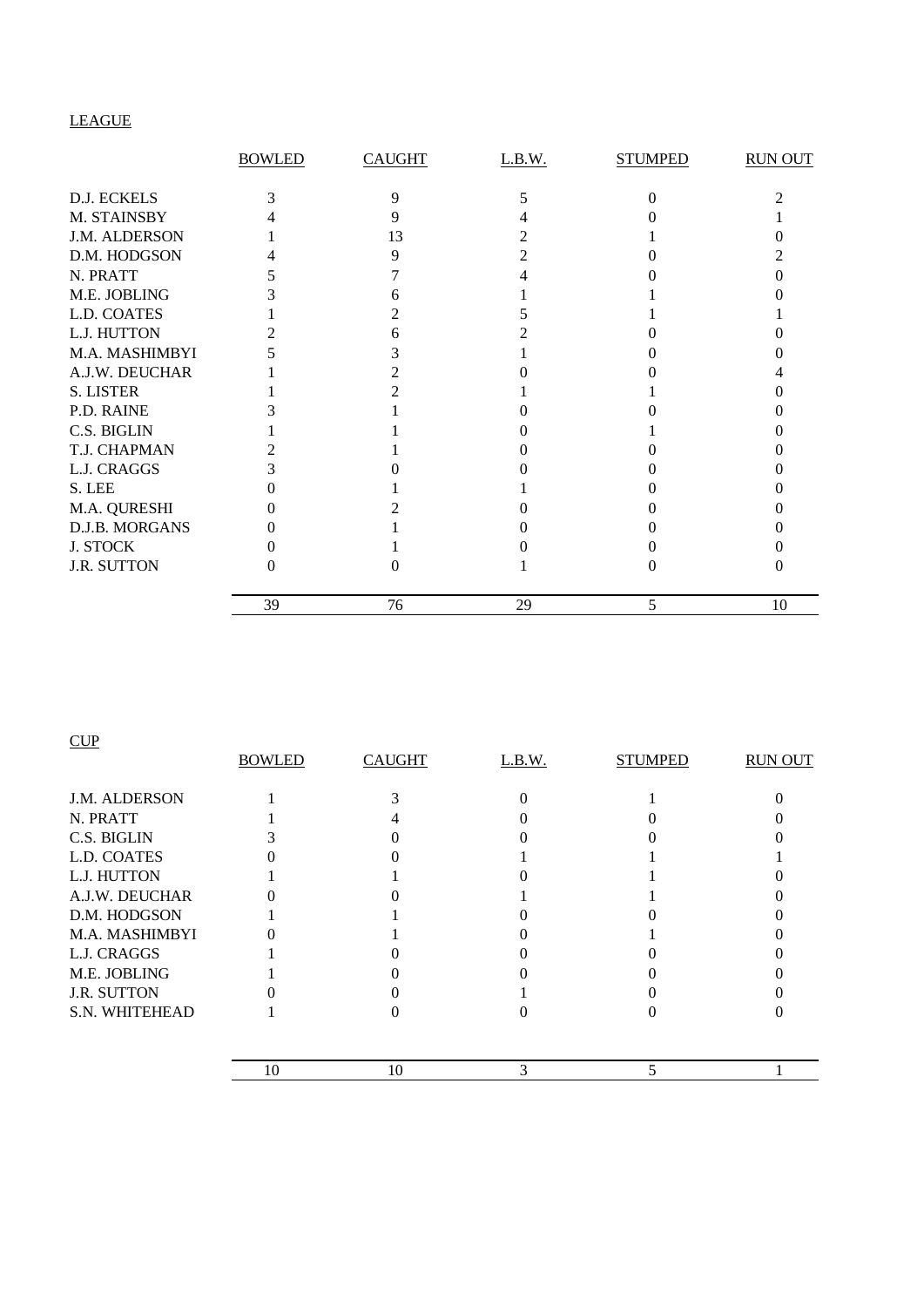# LEAGUE

|                  | <b>BOWLED</b> | <b>CAUGHT</b> | L.B.W. | <b>STUMPED</b> | <b>RUN OUT</b> |
|------------------|---------------|---------------|--------|----------------|----------------|
|                  |               |               |        |                |                |
| D.J. ECKELS      |               | Q             |        |                |                |
| M. STAINSBY      |               |               |        |                |                |
| J.M. ALDERSON    |               | 13            |        |                |                |
| D.M. HODGSON     |               |               |        |                |                |
| N. PRATT         |               |               |        |                |                |
| M.E. JOBLING     |               |               |        |                |                |
| L.D. COATES      |               |               |        |                |                |
| L.J. HUTTON      |               |               |        |                |                |
| M.A. MASHIMBYI   |               |               |        |                |                |
| A.J.W. DEUCHAR   |               |               |        |                |                |
| <b>S. LISTER</b> |               |               |        |                |                |
| P.D. RAINE       |               |               |        |                |                |
| C.S. BIGLIN      |               |               |        |                |                |
| T.J. CHAPMAN     |               |               |        |                |                |
| L.J. CRAGGS      |               |               |        |                |                |
| S. LEE           |               |               |        |                |                |
| M.A. QURESHI     |               |               |        |                |                |
| D.J.B. MORGANS   |               |               |        |                |                |
| <b>J. STOCK</b>  |               |               |        |                |                |
| J.R. SUTTON      |               |               |        |                |                |
|                  | 39            | 76            | 29     | 5              | 10             |

 $CUP$ 

|                    | <b>BOWLED</b> | <b>CAUGHT</b> | L.B.W. | <b>STUMPED</b> | <b>RUN OUT</b> |
|--------------------|---------------|---------------|--------|----------------|----------------|
| J.M. ALDERSON      |               |               |        |                |                |
| N. PRATT           |               |               |        |                |                |
| C.S. BIGLIN        |               |               |        |                |                |
| L.D. COATES        |               |               |        |                |                |
| L.J. HUTTON        |               |               |        |                |                |
| A.J.W. DEUCHAR     |               |               |        |                |                |
| D.M. HODGSON       |               |               |        |                |                |
| M.A. MASHIMBYI     |               |               |        |                |                |
| L.J. CRAGGS        |               |               |        |                |                |
| M.E. JOBLING       |               |               |        |                |                |
| <b>J.R. SUTTON</b> |               |               |        |                |                |
| S.N. WHITEHEAD     |               |               |        |                |                |
|                    | 10            | 10            | 3      | 5              |                |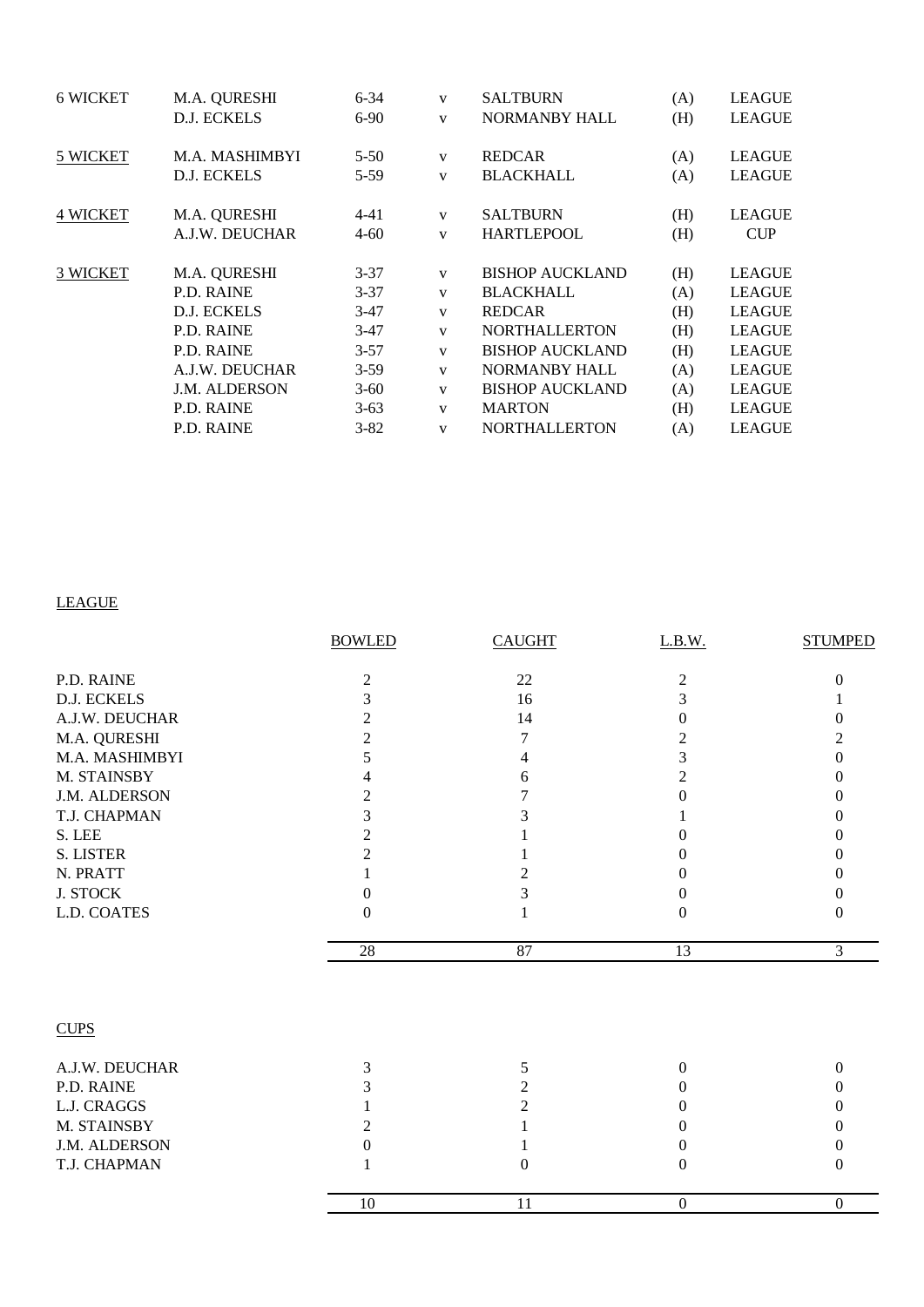| <b>6 WICKET</b> | M.A. QURESHI         | $6 - 34$ | $\mathbf{V}$ | <b>SALTBURN</b>        | (A) | <b>LEAGUE</b> |
|-----------------|----------------------|----------|--------------|------------------------|-----|---------------|
|                 | <b>D.J. ECKELS</b>   | $6-90$   | $\mathbf{V}$ | <b>NORMANBY HALL</b>   | (H) | <b>LEAGUE</b> |
| 5 WICKET        | M.A. MASHIMBYI       | $5 - 50$ | V            | <b>REDCAR</b>          | (A) | <b>LEAGUE</b> |
|                 | D.J. ECKELS          | $5-59$   | $\mathbf{V}$ | <b>BLACKHALL</b>       | (A) | <b>LEAGUE</b> |
| <b>4 WICKET</b> | M.A. QURESHI         | $4 - 41$ | V            | <b>SALTBURN</b>        | (H) | <b>LEAGUE</b> |
|                 | A.J.W. DEUCHAR       | $4 - 60$ | $\mathbf{V}$ | <b>HARTLEPOOL</b>      | (H) | <b>CUP</b>    |
| 3 WICKET        | M.A. QURESHI         | $3 - 37$ | $\mathbf{V}$ | <b>BISHOP AUCKLAND</b> | (H) | <b>LEAGUE</b> |
|                 | P.D. RAINE           | $3 - 37$ | $\mathbf{V}$ | <b>BLACKHALL</b>       | (A) | <b>LEAGUE</b> |
|                 | D.J. ECKELS          | $3-47$   | $\mathbf{V}$ | <b>REDCAR</b>          | (H) | <b>LEAGUE</b> |
|                 | <b>P.D. RAINE</b>    | $3-47$   | $\mathbf{V}$ | <b>NORTHALLERTON</b>   | (H) | <b>LEAGUE</b> |
|                 | <b>P.D. RAINE</b>    | $3 - 57$ | $\mathbf{V}$ | <b>BISHOP AUCKLAND</b> | (H) | <b>LEAGUE</b> |
|                 | A.J.W. DEUCHAR       | $3-59$   | $\mathbf{V}$ | <b>NORMANBY HALL</b>   | (A) | <b>LEAGUE</b> |
|                 | <b>J.M. ALDERSON</b> | $3-60$   | $\mathbf{V}$ | <b>BISHOP AUCKLAND</b> | (A) | <b>LEAGUE</b> |
|                 | P.D. RAINE           | $3-63$   | $\mathbf{V}$ | <b>MARTON</b>          | (H) | <b>LEAGUE</b> |
|                 | <b>P.D. RAINE</b>    | $3 - 82$ | $\mathbf{V}$ | <b>NORTHALLERTON</b>   | (A) | <b>LEAGUE</b> |
|                 |                      |          |              |                        |     |               |

## LEAGUE

|                  | <b>BOWLED</b>    | <b>CAUGHT</b>  | L.B.W.         | <b>STUMPED</b> |
|------------------|------------------|----------------|----------------|----------------|
| P.D. RAINE       | $\overline{c}$   | 22             | $\overline{c}$ | 0              |
| D.J. ECKELS      | 3                | 16             | 3              |                |
| A.J.W. DEUCHAR   | 2                | 14             | $\Omega$       | 0              |
| M.A. QURESHI     | $\overline{2}$   | 7              | 2              |                |
| M.A. MASHIMBYI   | 5                | 4              | 3              | 0              |
| M. STAINSBY      | 4                | 6              | $\overline{2}$ | 0              |
| J.M. ALDERSON    | 2                | 7              | 0              | $\theta$       |
| T.J. CHAPMAN     | 3                | 3              |                | $\theta$       |
| S. LEE           | 2                |                | 0              | $\theta$       |
| <b>S. LISTER</b> | $\overline{2}$   |                | 0              | $_{0}$         |
| N. PRATT         | 1                | 2              | 0              | $\theta$       |
| <b>J. STOCK</b>  | $\boldsymbol{0}$ | 3              | 0              | $\theta$       |
| L.D. COATES      | $\theta$         |                | $\theta$       | $\Omega$       |
|                  | 28               | 87             | 13             | 3              |
| <b>CUPS</b>      |                  |                |                |                |
| A.J.W. DEUCHAR   | 3                | 5              | $\overline{0}$ | $\Omega$       |
| P.D. RAINE       | 3                | $\overline{c}$ | $\theta$       | 0              |
| L.J. CRAGGS      |                  | 2              | $\Omega$       | $\theta$       |
| M. STAINSBY      | 2                |                | 0              | 0              |
| J.M. ALDERSON    | $\Omega$         |                | 0              | $\theta$       |
| T.J. CHAPMAN     | 1                | $\overline{0}$ | $\theta$       | $\theta$       |
|                  | 10               | 11             | $\mathbf{0}$   | $\Omega$       |